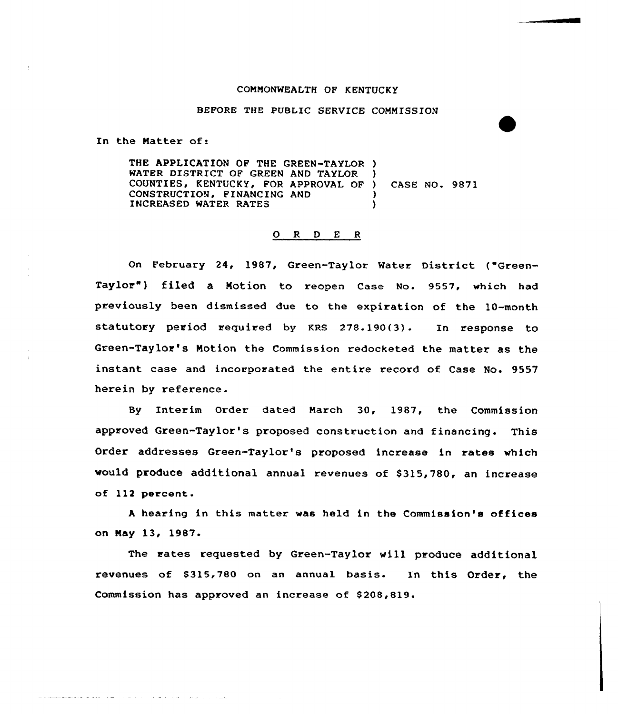## COMMONWEALTH OF KENTUCKY

## BEFORE THE PUBLIC SERVICE COMMISSION

In the Matter of:

وبطرا والوالوس والواد والواط والمماري والمالي والمتعاط فتتسطط فطلاقه

THE APPLICATION OF THE GREEN-TAYLOR ) WATER DISTRICT OF GREEN AND TAYLOR WATER DISTRICT OF GREEN AND TAYLOR )<br>COUNTIES, KENTUCKY, FOR APPROVAL OF ) CONSTRUCTION, FINANCING AND INCREASED WATER RATES CASE NO. 9871 )

## 0 <sup>R</sup> <sup>D</sup> <sup>E</sup> <sup>R</sup>

On February 24, 1987, Green-Taylor Water District ("Green-Taylor") filed a Motion to reopen Case No. 9557, which had previously been dismissed due to the expiration of the 10-month statutory period required by KRs 278.190{3). In response to Green-Taylor's Notion the Commission redocketed the matter as the instant case and incorporated the entire record of Case No. 9557 herein by reference.

By Interim Order dated March 30, 1987, the Commission approved Green-Taylor's proposed construction and financing. This Order addresses Green-Taylor's proposed increase in rates which would produce additional annual revenues of \$315,780, an increase of 112 percent.

<sup>A</sup> hearing in this matter was held in the Commission's offices on May 13, 1987-

The rates requested by Green-Taylor will produce additional revenues of \$315,780 on an annual basis. In this Order, the Commission has approved an increase of 8208,819.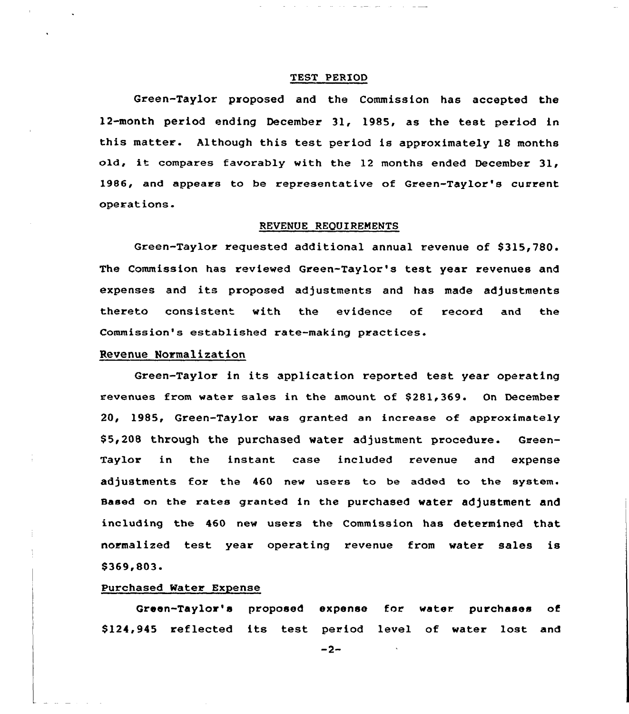## TEST PERIOD

والمستحدث والمستنقذ والمستناب

Green-Taylor proposed and the Commission has accepted the 12-month period ending December 31, 1985, as the test period in this matter. Although this test period is approximately 18 months old, it compares favorably with the <sup>12</sup> months ended December 31, 1986, and appears to be representative of Green-Taylor's current operations.

## REVENUE REQUIREMENTS

Green-Taylor requested additional annual revenue of \$315,780. The Commission has reviewed Green-Taylor's test year revenues and expenses and its proposed adjustments and has made adjustments thereto consistent with the evidence of record and the Commission's established rate-making practices.

# Revenue Normalization

Green-Taylor in its application reported test year operating revenues from water sales in the amount of \$281,369. On December 20, 1985, Green-Taylor was granted an increase of approximately \$ 5,208 through the purchased water adjustment procedure. Green-Taylor in the instant case included revenue and expense adjustments for the 460 new users to be added to the system. Based on the rates granted in the purchased water adjustment and including the 460 new users the Commission has determined that normalized test year operating revenue from water sales is \$369,803

#### Purchased Water Expense

Green-Taylor's proposed expense for water purchases of \$ 124,945 reflected its test period level of water lost and

 $-2-$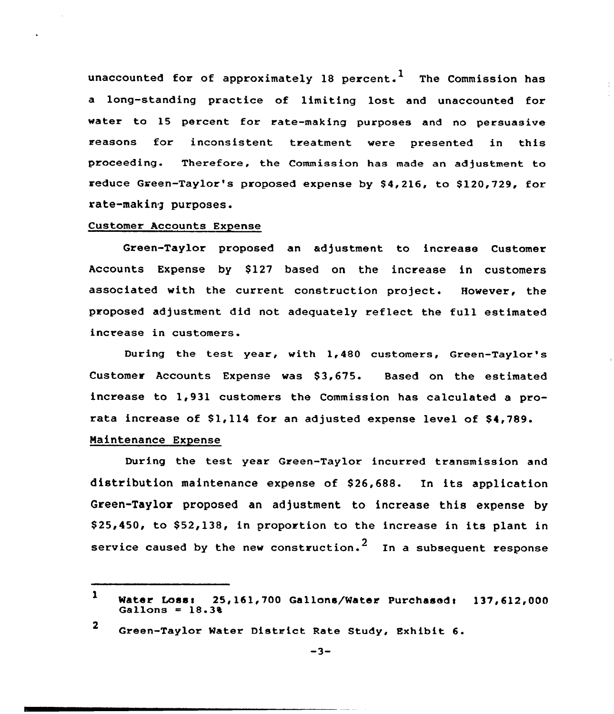unaccounted for of approximately 18 percent.<sup>1</sup> The Commission has a long-standing practice of limiting lost and unaccounted for water to 15 percent for rate-making purposes and no persuasive reasons for inconsistent treatment were presented in this proceeding. Therefore, the Commission has made an adjustment to reduce Green-Taylor's proposed expense by \$4,216, to \$120,729, for rate-making purposes.

## Customer Accounts Expense

Green-Taylor proposed an adjustment to increase Customer Accounts Expense by \$127 based on the increase in customers associated with the current construction project. However, the proposed adjustment did not adequately reflect the full estimated increase in customers.

During the test year, with 1,480 customers, Green-Taylor's Customer Accounts Expense was \$3,675. Based on the estimated increase to 1,931 customers the Commission has calculated a prorata increase of \$1,114 for an adjusted expense level of \$4,789.

# Maintenance Expense

During the test year Green-Taylor incurred transmission and distribution maintenance expense of \$26,688. In its application Green-Taylor proposed an adjustment to increase this expense by \$25,450, to \$52,138, in proportion to the increase in its plant in service caused by the new construction.<sup>2</sup> In a subsequent response

<sup>1</sup> Water Loss:  $25,161,700$  Gallons/Water Purchased:  $137,612,000$  Gallons =  $18.38$ 

<sup>2</sup> Creen-Taylor Mater District Rate Study, Exhibit 6.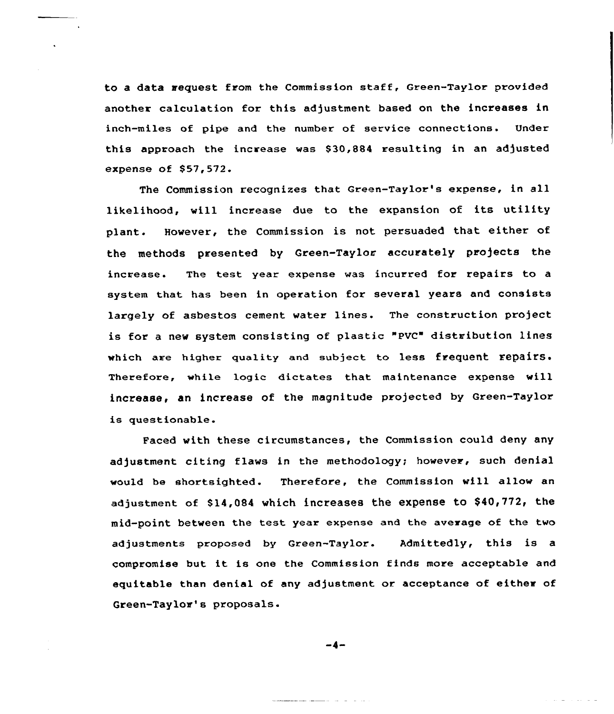to a data request from the Commission staff, Green-Taylor provided another calculation for this adjustment based on the increases in inch-miles of pipe and the number of service connections. Under this approach the increase was \$30,884 resulting in an adjusted expense of \$57,572.

The Commission recognizes that Green-Taylor's expense, in all likelihood, will increase due to the expansion of its utility plant. However, the Commission is not persuaded that either of the methods presented by Green-Taylor accurately projects the increase. The test year expense was incurred for repairs to a system that has been in operation for several years and consists largely of asbestos cement water lines. The construction project is for a new system consisting of plastic "PVC" distribution lines which are higher quality and subject to less frequent repairs. Therefore, while logic dictates that maintenance expense will increase, an increase of the magnitude projected by Green-Taylor is questionable.

Faced with these circumstances, the Commission could deny any adjustment citing flaws in the methodology; however, such denial would be shortsighted. Therefore, the Commission wi11 allow an adjustment of \$14,084 which increases the expense to \$40,772, the mid-point between the test year expense and the average of the two adjustments proposed by Green-Taylor. Admittedly, this is a compromise but it is one the Commission finds more acceptable and equitable than denial of any adjustment or acceptance of either of Green-Taylor's proposals.

-4-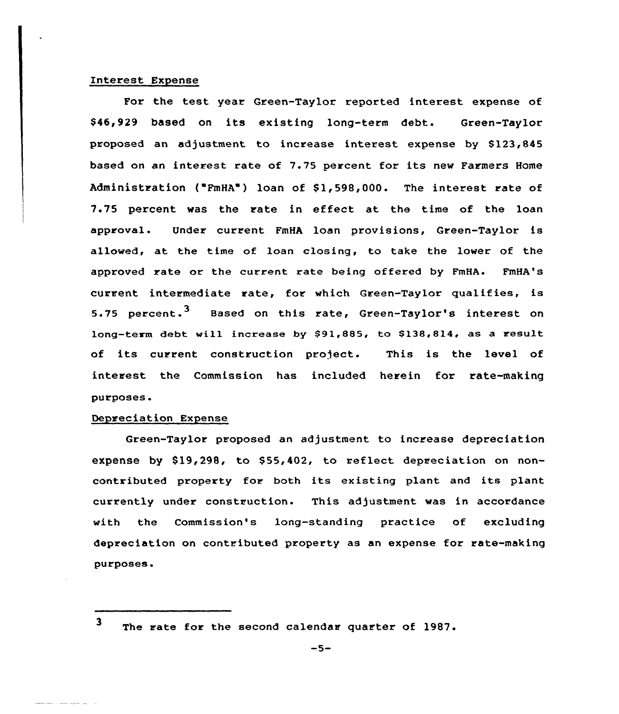## Interest Expense

For the test year Green-Taylor reported interest expense of \$ 46,929 based on its existing long-term debt. Green-Taylor proposed an adjustment to increase interest expense by 8123,845 based on an interest rate of 7.75 percent for its new Farmers Home Administration ("FmHA") loan of \$1,598,000. The interest rate of 7.75 percent was the rate in effect at the time of the loan approval. Under current FmHA loan provisions, Green-Taylor is allowed, at the time of loan closing, to take the lower of the approved rate or the current rate being offered by FmHA. FmHA's current intermediate rate, for which Green-Taylor qualifies, is 5.75 percent.<sup>3</sup> Based on this rate, Green-Taylor's interest on long-term debt will increase by \$91,885, to \$138,814, as a result of its current construction project. This is the level of interest the Commission has included herein for rate-making purposes.

# Depreciation Expense

Green-Taylor proposed an adjustment to increase depreciation expense by \$19,298, to \$55,402, to reflect depreciation on noncontributed property for both its existing plant and its plant currently under construction. This adjustment was in accordance with the Commission's lang-standing practice of excluding depreciation on contributed property as an expense for rate-making purposes.

 $\mathbf{3}$ The rate for the second calendar quarter of 1987.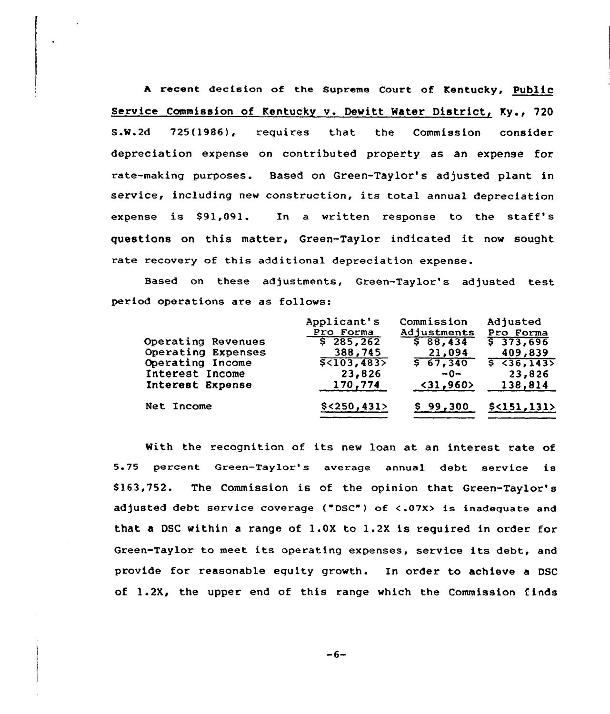<sup>A</sup> recent decision of the Supreme Court of Kentucky, PubliC service Commission of Kentucky v. Dewitt Mater District, Ky., 720 S.M.2d 725(1986), requires that the Commission consider depreciation expense on contributed property as an expense for rate-making purposes. Based on Green-Taylor's adjusted plant in service, including new construction, its total annual depreciation expense is S91,091. In <sup>a</sup> written response to the staff's questions on this matter, Green-Taylor indicated it. now sought rate recovery of this additional depreciation expense.

Based on these adjustments, Green-Taylor's adjusted test period operations are as follows:

| Operating Revenues<br>Operating Expenses<br>Operating Income<br>Interest Income<br>Interest Expense | Applicant's<br>Pro Forma<br>\$285,262<br>388,745<br>$\sqrt{5 \cdot 103, 483}$<br>23,826<br>170,774 | Commission<br>Adjustments<br>\$88,434<br>21,094<br>$5\overline{67,340}$<br>$-0-$<br>$\langle 31, 960 \rangle$ | Adjusted<br>Pro Forma<br>\$373,696<br>409,839<br>5 36,1435<br>23,826<br>138,814 |
|-----------------------------------------------------------------------------------------------------|----------------------------------------------------------------------------------------------------|---------------------------------------------------------------------------------------------------------------|---------------------------------------------------------------------------------|
| Net Income                                                                                          | $$<$ 250,431>                                                                                      | \$99,300                                                                                                      | $$<$ 151, 131>                                                                  |

With the recognition of its new loan at an interest rate of 5.75 percent Green-Taylor's average annual debt service is S163,752. The Commission is of the opinion that Green-Taylor's adjusted debt service coverage ("DSC") of <.07X> is inadequate and that a DSC within a range of 1.0X to 1.2X is required in order for Green-Taylor to meet its operating expenses, service its debt, and provide for reasonable equity growth. In order to achieve a DSC of 1.2X, the upper end of this range which the Commission finds

 $-6-$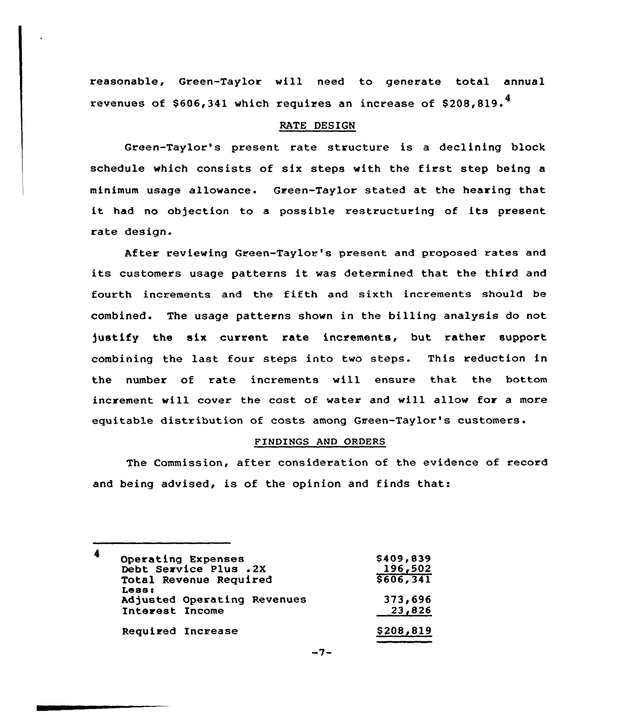reasonable, Green-Taylor will need to generate total annual revenues of  $$606,341$  which requires an increase of  $$208.819.<sup>4</sup>$ 

## RATE DESIGN

Green-Taylor's present rate structure is a declining block schedule which consists of six steps with the first step being <sup>a</sup> minimum usage allowance. Green-Taylor stated at the hearing that it had no objection to <sup>a</sup> possible restructuring of its present rate design.

After reviewing Green-Taylor's present and proposed rates and its customers usage patterns it was determined that the third and fourth increments and the fifth and sixth increments should be combined. The usage patterns shown in the billing analysis do not justify the six current rate increments, but rather support combining the last four steps into two steps. This reduction in the number of rate increments vill ensure that the bottom increment will cover the cost of water and will allow for a more equitable distribution of costs among Green-Taylor's customers.

## FINDINGS AND ORDERS

The Commission, after consideration of the evidence of record and being advised, is of the opinion and finds that:

| 4<br>Operating Expenses<br>Debt Service Plus .2X<br>Total Revenue Required | \$409,839<br>196,502<br>5606, 341 |
|----------------------------------------------------------------------------|-----------------------------------|
| Less:<br>Adjusted Operating Revenues<br>Interest Income                    | 373,696<br>23,826                 |
| Required Increase                                                          | \$208,819                         |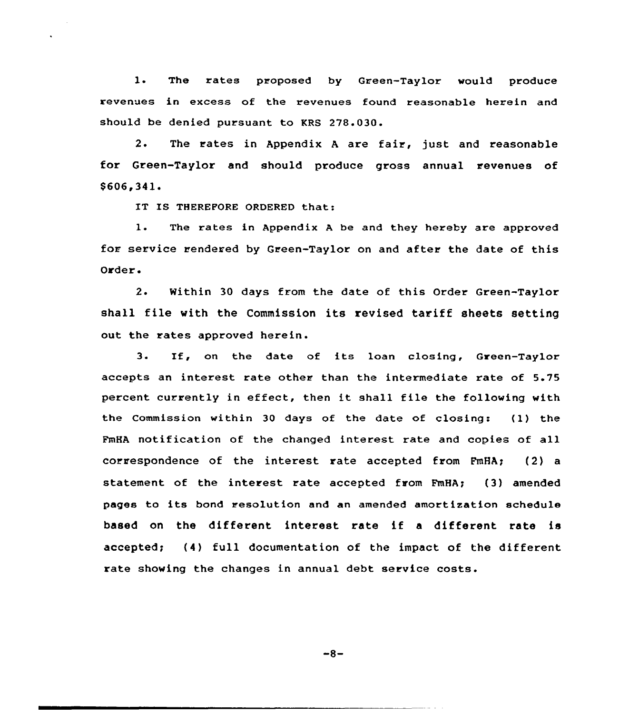l. The rates proposed by Green-Taylor would produce revenues in excess of the revenues found reasonable herein and should be denied pursuant to KRS 278.030.

2. The rates in Appendix <sup>A</sup> are fair, just and reasonable for Green-Taylor and should produce gross annual revenues of \$606,341

IS THEREFORE ORDERED that

1. The rates in Appendix <sup>A</sup> be and they hereby are approved for service rendered by Green-Taylor on and after the date of this Order.

2. Within 30 days from the date of this Order Green-Taylor shall file with the Commission its revised tariff sheets setting out the rates approved herein.

3. If, on the date of its loan closing, Green-Taylor accepts an interest rate other than the intermediate rate of 5.75 percent currently in effect, then it shall file the following with the Commission within 30 days of the date of closing: (1} the FmHA notification of the changed interest rate and copies of all correspondence of the interest rate accepted from FmHA; (2) a statement of the interest rate accepted from FmHA; (3) amended pages to its bond resolution and an amended amortization schedule based on the different interest rate if <sup>a</sup> different rate is accepted; (4) full documentation of the impact of the different rate showing the changes in annual debt service costs.

 $-8-$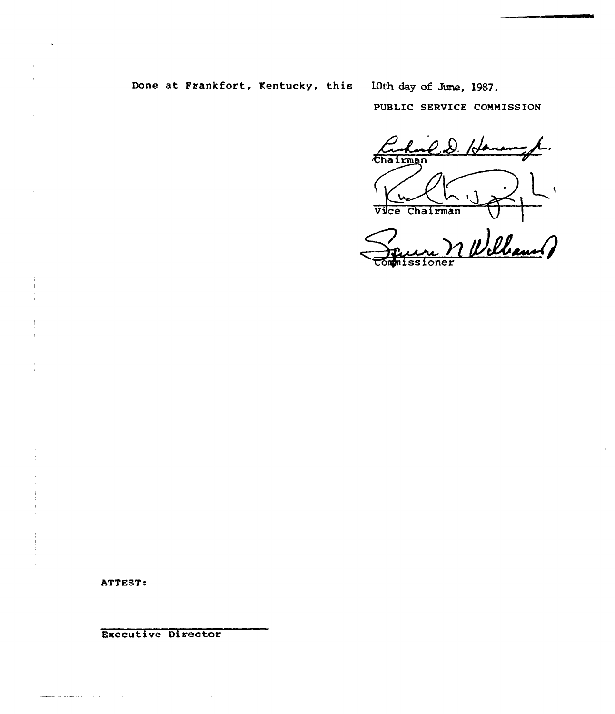# Done at Frankfort, Kentucky, this 10th day of June, 1987.

PUBLIC SERVICE COMMISSION

 $2.8.7$ Chairman  $\overline{\mathsf{L}}$ 

Vice Chairman VII<br>Seurn n Williams o issioner

ATTEST:

and the second second control of the

Executive Director

 $\sim 100$